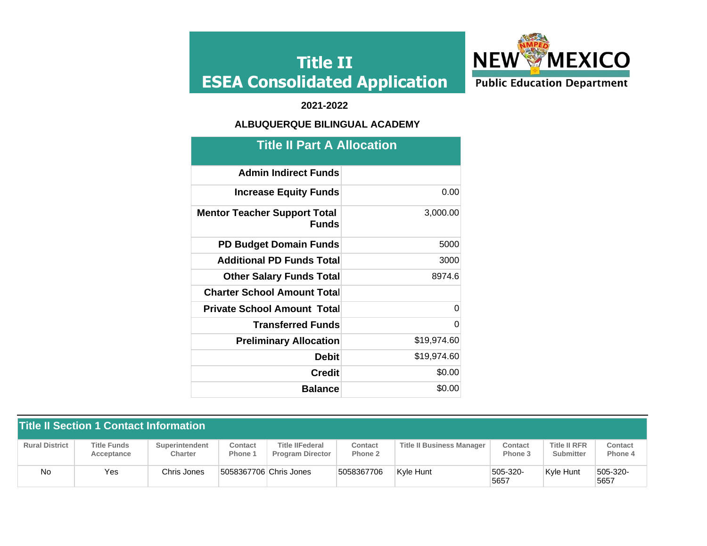

### **2021-2022**

### **ALBUQUERQUE BILINGUAL ACADEMY**

| <b>Title II Part A Allocation</b>                   |             |  |  |  |  |  |  |  |
|-----------------------------------------------------|-------------|--|--|--|--|--|--|--|
| <b>Admin Indirect Funds</b>                         |             |  |  |  |  |  |  |  |
| <b>Increase Equity Funds</b>                        | 0.00        |  |  |  |  |  |  |  |
| <b>Mentor Teacher Support Total</b><br><b>Funds</b> | 3,000.00    |  |  |  |  |  |  |  |
| <b>PD Budget Domain Funds</b>                       | 5000        |  |  |  |  |  |  |  |
| <b>Additional PD Funds Total</b>                    | 3000        |  |  |  |  |  |  |  |
| <b>Other Salary Funds Total</b>                     | 8974.6      |  |  |  |  |  |  |  |
| <b>Charter School Amount Total</b>                  |             |  |  |  |  |  |  |  |
| <b>Private School Amount Total</b>                  | $\Omega$    |  |  |  |  |  |  |  |
| <b>Transferred Funds</b>                            | $\Omega$    |  |  |  |  |  |  |  |
| <b>Preliminary Allocation</b>                       | \$19,974.60 |  |  |  |  |  |  |  |
| <b>Debit</b>                                        | \$19,974.60 |  |  |  |  |  |  |  |
| <b>Credit</b>                                       | \$0.00      |  |  |  |  |  |  |  |
| <b>Balance</b>                                      | \$0.00      |  |  |  |  |  |  |  |

| <b>Title II Section 1 Contact Information</b> |                                  |                                  |                        |                                                   |                    |                                  |                    |                                  |                           |  |  |
|-----------------------------------------------|----------------------------------|----------------------------------|------------------------|---------------------------------------------------|--------------------|----------------------------------|--------------------|----------------------------------|---------------------------|--|--|
| <b>Rural District</b>                         | <b>Title Funds</b><br>Acceptance | <b>Superintendent</b><br>Charter | Contact<br>Phone 1     | <b>Title IIFederal</b><br><b>Program Director</b> | Contact<br>Phone 2 | <b>Title II Business Manager</b> | Contact<br>Phone 3 | <b>Title II RFR</b><br>Submitter | <b>Contact</b><br>Phone 4 |  |  |
| No                                            | Yes                              | Chris Jones                      | 5058367706 Chris Jones |                                                   | 5058367706         | Kvle Hunt                        | 505-320-<br>5657   | Kvle Hunt                        | 505-320-<br>5657          |  |  |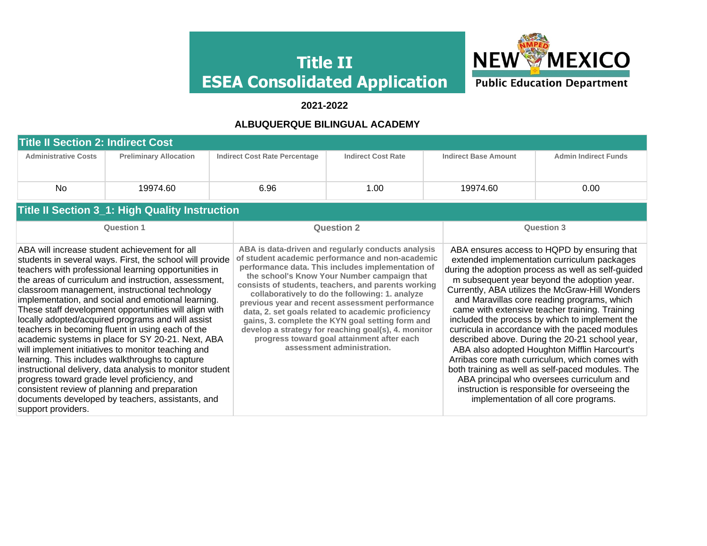

 **2021-2022** 

### **ALBUQUERQUE BILINGUAL ACADEMY**

| <b>Title II Section 2: Indirect Cost</b> |                                                                                                                                                                                                                                                                                                                                                                                                                                                                                                                                                                                                                                                                                                                                                                                                                                                                                    |  |                                      |                                                                                                                                                                                                                                                                                                                                                                                                                                                                                                                                                                                                                      |                   |                             |                                                                                                                                                                                                                                                                                                                                                                                                                                                                                                                                                                                                                                                                                                                                                                                                       |  |  |  |  |
|------------------------------------------|------------------------------------------------------------------------------------------------------------------------------------------------------------------------------------------------------------------------------------------------------------------------------------------------------------------------------------------------------------------------------------------------------------------------------------------------------------------------------------------------------------------------------------------------------------------------------------------------------------------------------------------------------------------------------------------------------------------------------------------------------------------------------------------------------------------------------------------------------------------------------------|--|--------------------------------------|----------------------------------------------------------------------------------------------------------------------------------------------------------------------------------------------------------------------------------------------------------------------------------------------------------------------------------------------------------------------------------------------------------------------------------------------------------------------------------------------------------------------------------------------------------------------------------------------------------------------|-------------------|-----------------------------|-------------------------------------------------------------------------------------------------------------------------------------------------------------------------------------------------------------------------------------------------------------------------------------------------------------------------------------------------------------------------------------------------------------------------------------------------------------------------------------------------------------------------------------------------------------------------------------------------------------------------------------------------------------------------------------------------------------------------------------------------------------------------------------------------------|--|--|--|--|
| <b>Administrative Costs</b>              | <b>Preliminary Allocation</b>                                                                                                                                                                                                                                                                                                                                                                                                                                                                                                                                                                                                                                                                                                                                                                                                                                                      |  | <b>Indirect Cost Rate Percentage</b> | <b>Indirect Cost Rate</b>                                                                                                                                                                                                                                                                                                                                                                                                                                                                                                                                                                                            |                   | <b>Indirect Base Amount</b> | <b>Admin Indirect Funds</b>                                                                                                                                                                                                                                                                                                                                                                                                                                                                                                                                                                                                                                                                                                                                                                           |  |  |  |  |
| No                                       | 19974.60                                                                                                                                                                                                                                                                                                                                                                                                                                                                                                                                                                                                                                                                                                                                                                                                                                                                           |  | 6.96                                 | 1.00                                                                                                                                                                                                                                                                                                                                                                                                                                                                                                                                                                                                                 |                   | 19974.60                    | 0.00                                                                                                                                                                                                                                                                                                                                                                                                                                                                                                                                                                                                                                                                                                                                                                                                  |  |  |  |  |
|                                          | <b>Title II Section 3_1: High Quality Instruction</b>                                                                                                                                                                                                                                                                                                                                                                                                                                                                                                                                                                                                                                                                                                                                                                                                                              |  |                                      |                                                                                                                                                                                                                                                                                                                                                                                                                                                                                                                                                                                                                      |                   |                             |                                                                                                                                                                                                                                                                                                                                                                                                                                                                                                                                                                                                                                                                                                                                                                                                       |  |  |  |  |
| <b>Question 1</b>                        |                                                                                                                                                                                                                                                                                                                                                                                                                                                                                                                                                                                                                                                                                                                                                                                                                                                                                    |  |                                      | <b>Question 2</b>                                                                                                                                                                                                                                                                                                                                                                                                                                                                                                                                                                                                    | <b>Question 3</b> |                             |                                                                                                                                                                                                                                                                                                                                                                                                                                                                                                                                                                                                                                                                                                                                                                                                       |  |  |  |  |
| support providers.                       | ABA will increase student achievement for all<br>students in several ways. First, the school will provide<br>teachers with professional learning opportunities in<br>the areas of curriculum and instruction, assessment,<br>classroom management, instructional technology<br>implementation, and social and emotional learning.<br>These staff development opportunities will align with<br>locally adopted/acquired programs and will assist<br>teachers in becoming fluent in using each of the<br>academic systems in place for SY 20-21. Next, ABA<br>will implement initiatives to monitor teaching and<br>learning. This includes walkthroughs to capture<br>instructional delivery, data analysis to monitor student<br>progress toward grade level proficiency, and<br>consistent review of planning and preparation<br>documents developed by teachers, assistants, and |  |                                      | ABA is data-driven and regularly conducts analysis<br>of student academic performance and non-academic<br>performance data. This includes implementation of<br>the school's Know Your Number campaign that<br>consists of students, teachers, and parents working<br>collaboratively to do the following: 1. analyze<br>previous year and recent assessment performance<br>data, 2. set goals related to academic proficiency<br>gains, 3. complete the KYN goal setting form and<br>develop a strategy for reaching goal(s), 4. monitor<br>progress toward goal attainment after each<br>assessment administration. |                   |                             | ABA ensures access to HQPD by ensuring that<br>extended implementation curriculum packages<br>during the adoption process as well as self-guided<br>m subsequent year beyond the adoption year.<br>Currently, ABA utilizes the McGraw-Hill Wonders<br>and Maravillas core reading programs, which<br>came with extensive teacher training. Training<br>included the process by which to implement the<br>curricula in accordance with the paced modules<br>described above. During the 20-21 school year,<br>ABA also adopted Houghton Mifflin Harcourt's<br>Arribas core math curriculum, which comes with<br>both training as well as self-paced modules. The<br>ABA principal who oversees curriculum and<br>instruction is responsible for overseeing the<br>implementation of all core programs. |  |  |  |  |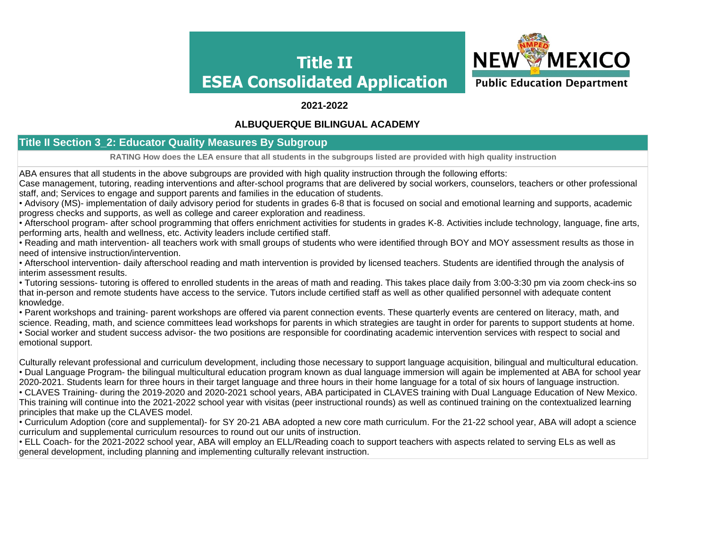

#### **2021-2022**

#### **ALBUQUERQUE BILINGUAL ACADEMY**

### **Title II Section 3\_2: Educator Quality Measures By Subgroup**

**RATING How does the LEA ensure that all students in the subgroups listed are provided with high quality instruction**

ABA ensures that all students in the above subgroups are provided with high quality instruction through the following efforts:

Case management, tutoring, reading interventions and after-school programs that are delivered by social workers, counselors, teachers or other professional staff, and; Services to engage and support parents and families in the education of students.

• Advisory (MS)- implementation of daily advisory period for students in grades 6-8 that is focused on social and emotional learning and supports, academic progress checks and supports, as well as college and career exploration and readiness.

• Afterschool program- after school programming that offers enrichment activities for students in grades K-8. Activities include technology, language, fine arts, performing arts, health and wellness, etc. Activity leaders include certified staff.

• Reading and math intervention- all teachers work with small groups of students who were identified through BOY and MOY assessment results as those in need of intensive instruction/intervention.

• Afterschool intervention- daily afterschool reading and math intervention is provided by licensed teachers. Students are identified through the analysis of interim assessment results.

• Tutoring sessions- tutoring is offered to enrolled students in the areas of math and reading. This takes place daily from 3:00-3:30 pm via zoom check-ins so that in-person and remote students have access to the service. Tutors include certified staff as well as other qualified personnel with adequate content knowledge.

• Parent workshops and training- parent workshops are offered via parent connection events. These quarterly events are centered on literacy, math, and science. Reading, math, and science committees lead workshops for parents in which strategies are taught in order for parents to support students at home.

• Social worker and student success advisor- the two positions are responsible for coordinating academic intervention services with respect to social and emotional support.

Culturally relevant professional and curriculum development, including those necessary to support language acquisition, bilingual and multicultural education. • Dual Language Program- the bilingual multicultural education program known as dual language immersion will again be implemented at ABA for school year 2020-2021. Students learn for three hours in their target language and three hours in their home language for a total of six hours of language instruction. • CLAVES Training- during the 2019-2020 and 2020-2021 school years, ABA participated in CLAVES training with Dual Language Education of New Mexico. This training will continue into the 2021-2022 school year with visitas (peer instructional rounds) as well as continued training on the contextualized learning principles that make up the CLAVES model.

• Curriculum Adoption (core and supplemental)- for SY 20-21 ABA adopted a new core math curriculum. For the 21-22 school year, ABA will adopt a science curriculum and supplemental curriculum resources to round out our units of instruction.

• ELL Coach- for the 2021-2022 school year, ABA will employ an ELL/Reading coach to support teachers with aspects related to serving ELs as well as general development, including planning and implementing culturally relevant instruction.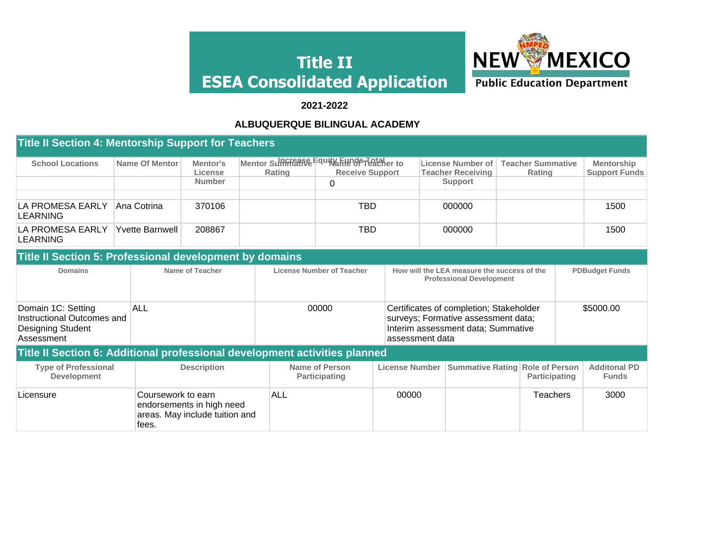

### **2021-2022**

#### **ALBUQUERQUE BILINGUAL ACADEMY**

| <b>Title II Section 4: Mentorship Support for Teachers</b> |                 |                     |        |                                                                       |                                               |                                           |                                           |  |  |  |  |
|------------------------------------------------------------|-----------------|---------------------|--------|-----------------------------------------------------------------------|-----------------------------------------------|-------------------------------------------|-------------------------------------------|--|--|--|--|
| <b>School Locations</b>                                    | Name Of Mentor  | Mentor's<br>License | Rating | Mentor Supercance Fquity Funder Total er to<br><b>Receive Support</b> | License Number of<br><b>Teacher Receiving</b> | <b>Teacher Summative</b><br><b>Rating</b> | <b>Mentorship</b><br><b>Support Funds</b> |  |  |  |  |
|                                                            |                 | <b>Number</b>       |        |                                                                       | <b>Support</b>                                |                                           |                                           |  |  |  |  |
| LA PROMESA EARLY<br><b>LEARNING</b>                        | Ana Cotrina     | 370106              |        | TBD                                                                   | 000000                                        |                                           | 1500                                      |  |  |  |  |
| LA PROMESA EARLY<br><b>LEARNING</b>                        | Yvette Barnwell | 208867              |        | TBD                                                                   | 000000                                        |                                           | 1500                                      |  |  |  |  |

#### **Title II Section 5: Professional development by domains**

| <b>Domains</b>                                                                      | Name of Teacher                                                                            | License Number of Teacher              |                       | How will the LEA measure the success of the<br><b>Professional Development</b>                                       |               |           | <b>PDBudget Funds</b>               |
|-------------------------------------------------------------------------------------|--------------------------------------------------------------------------------------------|----------------------------------------|-----------------------|----------------------------------------------------------------------------------------------------------------------|---------------|-----------|-------------------------------------|
| Domain 1C: Setting<br>Instructional Outcomes and<br>Designing Student<br>Assessment | ALL                                                                                        | 00000                                  | assessment data       | Certificates of completion; Stakeholder<br>surveys; Formative assessment data;<br>Interim assessment data; Summative |               | \$5000.00 |                                     |
|                                                                                     | Title II Section 6: Additional professional development activities planned                 |                                        |                       |                                                                                                                      |               |           |                                     |
| <b>Type of Professional</b><br><b>Development</b>                                   | <b>Description</b>                                                                         | Name of Person<br><b>Participating</b> | <b>License Number</b> | <b>Summative Rating Role of Person</b>                                                                               | Participating |           | <b>Additonal PD</b><br><b>Funds</b> |
| Licensure                                                                           | Coursework to earn<br>endorsements in high need<br>areas. May include tuition and<br>tees. | ALL                                    | 00000                 |                                                                                                                      | Teachers      |           | 3000                                |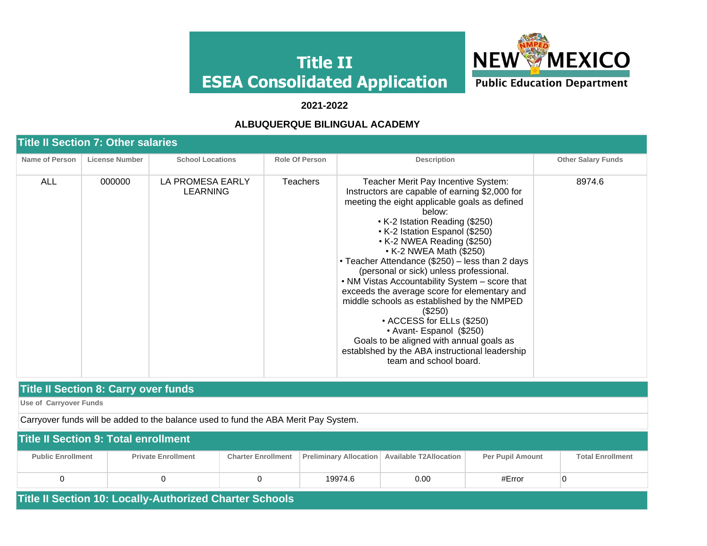

#### **2021-2022**

#### **ALBUQUERQUE BILINGUAL ACADEMY**

#### **Title II Section 7: Other salaries Name of Person License Number School Locations Role Of Person Description Description Description Other Salary Funds** ALL 000000 LA PROMESA EARLY LEARNING Teachers Teacher Merit Pay Incentive System: Instructors are capable of earning \$2,000 for meeting the eight applicable goals as defined below: • K-2 Istation Reading (\$250) • K-2 Istation Espanol (\$250) • K-2 NWEA Reading (\$250) • K-2 NWEA Math (\$250) • Teacher Attendance (\$250) – less than 2 days (personal or sick) unless professional. • NM Vistas Accountability System – score that exceeds the average score for elementary and middle schools as established by the NMPED (\$250) • ACCESS for ELLs (\$250) • Avant- Espanol (\$250) Goals to be aligned with annual goals as establshed by the ABA instructional leadership team and school board. 8974.6

#### **Title II Section 8: Carry over funds**

**Use of Carryover Funds**

Carryover funds will be added to the balance used to fund the ABA Merit Pay System.

| <b>Title II Section 9: Total enrollment</b> |                           |                           |         |                                                 |                         |                         |  |  |  |  |  |
|---------------------------------------------|---------------------------|---------------------------|---------|-------------------------------------------------|-------------------------|-------------------------|--|--|--|--|--|
| <b>Public Enrollment</b>                    | <b>Private Enrollment</b> | <b>Charter Enrollment</b> |         | Preliminary Allocation   Available T2Allocation | <b>Per Pupil Amount</b> | <b>Total Enrollment</b> |  |  |  |  |  |
|                                             |                           |                           | 19974.6 | 0.00                                            | #Error                  |                         |  |  |  |  |  |

**Title II Section 10: Locally-Authorized Charter Schools**